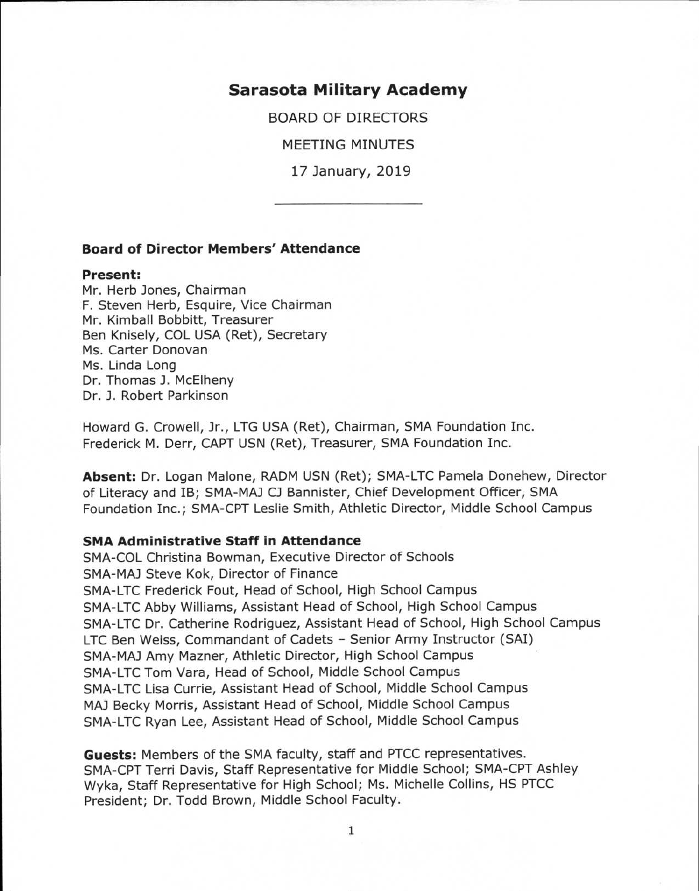# **Sarasota Military Academy**

BOARD OF DIRECTORS

MEETING MINUTES

17 January, 2019

### **Board of Director Members' Attendance**

#### **Present:**

Mr. Herb Jones, Chairman F. Steven Herb, Esquire, Vice Chairman Mr. Kimball Bobbitt, Treasurer Ben Knisely, COL USA (Ret), Secretary Ms. Carter Donovan Ms. Linda Long Dr. Thomas J. McElheny Dr. J. Robert Parkinson

Howard G. Crowell, Jr., LTG USA (Ret), Chairman, SMA Foundation Inc. Frederick M. Derr, CAPT USN (Ret), Treasurer, SMA Foundation Inc.

**Absent:** Dr. Logan Malone, RADM USN (Ret); SMA-LTC Pamela Donehew, Director of Literacy and IB; SMA-MAJ CJ Bannister, Chief Development Officer, SMA Foundation Inc.; SMA-CPT Leslie Smith, Athletic Director, Middle School Campus

#### **SMA Administrative Staff in Attendance**

SMA-COL Christina Bowman, Executive Director of Schools SMA-MAJ Steve Kok, Director of Finance SMA-LTC Frederick Fout, Head of School, High School Campus SMA-LTC Abby Williams, Assistant Head of School, High School Campus SMA-LTC Dr. Catherine Rodriguez, Assistant Head of School, High School Campus LTC Ben Weiss, Commandant of Cadets - Senior Army Instructor (SAI) SMA-MAJ Amy Mazner, Athletic Director, High School Campus SMA-LTC Tom Vara, Head of School, Middle School Campus SMA-LTC Lisa Currie, Assistant Head of School, Middle School Campus MA] Becky Morris, Assistant Head of School, Middle School Campus SMA-LTC Ryan Lee, Assistant Head of School, Middle School Campus

**Guests:** Members of the SMA faculty, staff and PTCC representatives. SMA-CPT Terri Davis, Staff Representative for Middle School; SMA-CPT Ashley Wyka, Staff Representative for High School; Ms. Michelle Collins, HS PTCC President; Dr. Todd Brown, Middle School Faculty.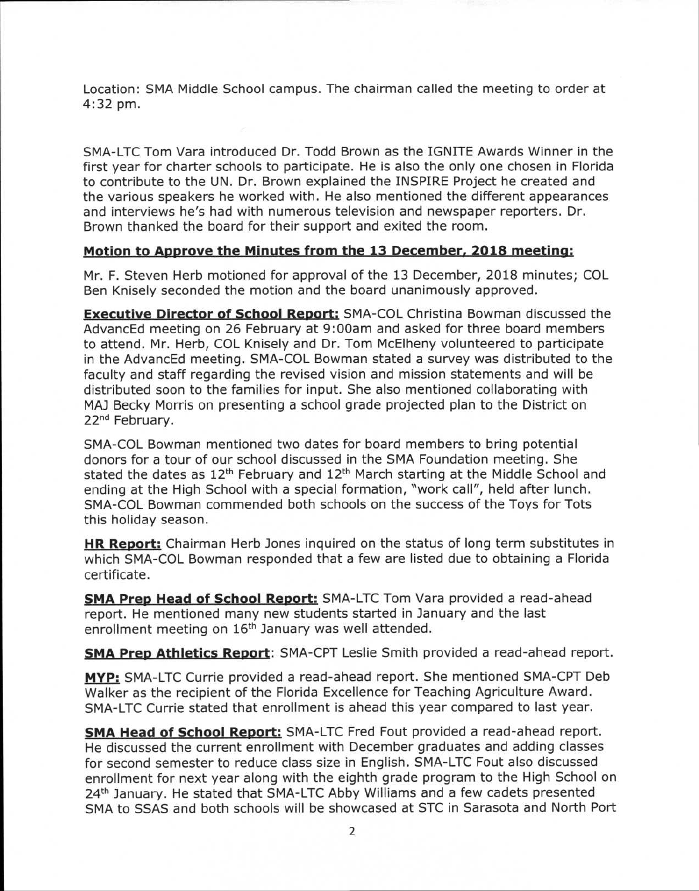Location: SMA Middle School campus. The chairman called the meeting to order at 4:32 pm.

SMA-LTC Tom Vara introduced Dr. Todd Brown as the IGNITE Awards Winner in the first year for charter schools to participate. He is also the only one chosen in Florida to contribute to the UN. Dr. Brown explained the INSPIRE Project he created and the various speakers he worked with. He also mentioned the different appearances and interviews he's had with numerous television and newspaper reporters. Dr. Brown thanked the board for their support and exited the room.

## **Motion to Approve the Minutes from the 13 December, 2018 meeting:**

Mr. F. Steven Herb motioned for approval of the 13 December, 2018 minutes; COL Ben Knisely seconded the motion and the board unanimously approved.

**Executive Director of School Report:** SMA-COL Christina Bowman discussed the AdvancEd meeting on 26 February at 9:00am and asked for three board members to attend. Mr. Herb, COL Knisely and Dr. Tom McElheny volunteered to participate in the AdvancEd meeting. SMA-COL Bowman stated a survey was distributed to the faculty and staff regarding the revised vision and mission statements and will be distributed soon to the families for input. She also mentioned collaborating with MA] Becky Morris on presenting a school grade projected plan to the District on 22<sup>nd</sup> February.

SMA-COL Bowman mentioned two dates for board members to bring potential donors for a tour of our school discussed in the SMA Foundation meeting. She stated the dates as  $12<sup>th</sup>$  February and  $12<sup>th</sup>$  March starting at the Middle School and ending at the High School with a special formation, "work call", held after lunch. SMA-COL Bowman commended both schools on the success of the Toys for Tots this holiday season.

**HR Report:** Chairman Herb Jones inquired on the status of long term substitutes in which SMA-COL Bowman responded that a few are listed due to obtaining a Florida certificate.

**SMA Prep Head of School Report:** SMA-LTC Tom Vara provided a read-ahead report. He mentioned many new students started in January and the last enrollment meeting on 16<sup>th</sup> January was well attended.

**SMA Prep Athletics Report:** SMA-CPT Leslie Smith provided a read-ahead report.

**MYP:** SMA-LTC Currie provided a read-ahead report. She mentioned SMA-CPT Deb Walker as the recipient of the Florida Excellence for Teaching Agriculture Award. SMA-LTC Currie stated that enrollment is ahead this year compared to last year.

**SMA Head of School Report:** SMA-LTC Fred Fout provided a read-ahead report. He discussed the current enrollment with December graduates and adding classes for second semester to reduce class size in English. SMA-LTC Fout also discussed enrollment for next year along with the eighth grade program to the High School on 24<sup>th</sup> January. He stated that SMA-LTC Abby Williams and a few cadets presented SMA to SSAS and both schools will be showcased at STC in Sarasota and North Port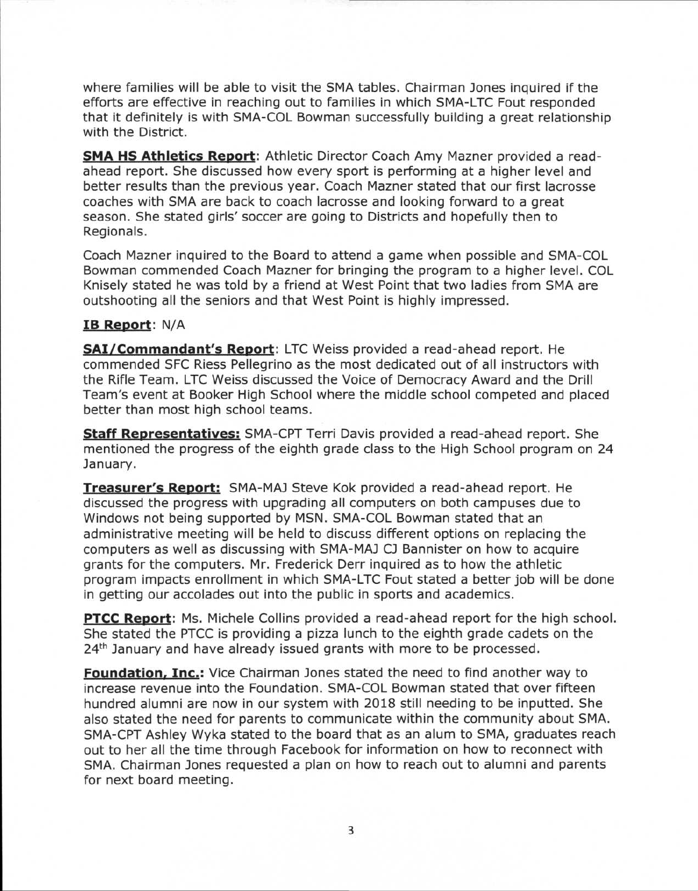where families will be able to visit the SMA tables. Chairman Jones inquired if the efforts are effective in reaching out to families in which SMA-LTC Fout responded that it definitely is with SMA-COL Bowman successfully building a great relationship with the District.

**SMA HS Athletics Report:** Athletic Director Coach Amy Mazner provided a readahead report. She discussed how every sport is performing at a higher level and better results than the previous year. Coach Mazner stated that our first lacrosse coaches with SMA are back to coach lacrosse and looking forward to a great season. She stated girls' soccer are going to Districts and hopefully then to Regionals.

Coach Mazner inquired to the Board to attend a game when possible and SMA-COL Bowman commended Coach Mazner for bringing the program to a higher level. COL Knisely stated he was told by a friend at West Point that two ladies from SMA are outshooting all the seniors and that West Point is highly impressed.

## **IB Report:** N/A

**SAI/Commandant's Report:** LTC Weiss provided a read-ahead report. He commended SFC Riess Pellegrino as the most dedicated out of all instructors with the Rifle Team. LTC Weiss discussed the Voice of Democracy Award and the Drill Team's event at Booker High School where the middle school competed and placed better than most high school teams.

**Staff Representatives:** SMA-CPT Terri Davis provided a read-ahead report. She mentioned the progress of the eighth grade class to the High School program on 24 January.

**Treasurer's Report:** SMA-MAJ Steve Kok provided a read-ahead report. He discussed the progress with upgrading all computers on both campuses due to Windows not being supported by MSN. SMA-COL Bowman stated that an administrative meeting will be held to discuss different options on replacing the computers as well as discussing with SMA-MAJ CJ Bannister on how to acquire grants for the computers. Mr. Frederick Derr inquired as to how the athletic program impacts enrollment in which SMA-LTC Fout stated a better job will be done in getting our accolades out into the public in sports and academics.

**PTCC Report:** Ms. Michele Collins provided a read-ahead report for the high school. She stated the PTCC is providing a pizza lunch to the eighth grade cadets on the  $24<sup>th</sup>$  January and have already issued grants with more to be processed.

**Foundation, Inc.:** Vice Chairman Jones stated the need to find another way to increase revenue into the Foundation. SMA-COL Bowman stated that over fifteen hundred alumni are now in our system with 2018 still needing to be inputted. She also stated the need for parents to communicate within the community about SMA. SMA-CPT Ashley Wyka stated to the board that as an alum to SMA, graduates reach out to her all the time through Facebook for information on how to reconnect with SMA. Chairman Jones requested a plan on how to reach out to alumni and parents for next board meeting.